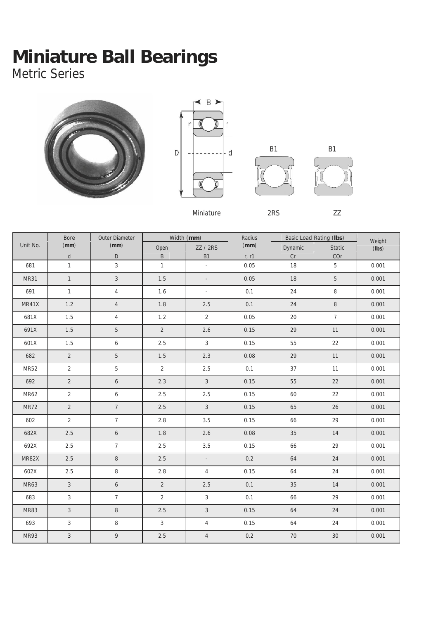Metric Series









Miniature 2RS ZZ

|              | Bore           | Outer Diameter   |                | Width (mm)               | Radius  | Basic Load Rating (Ibs) | Weight          |       |
|--------------|----------------|------------------|----------------|--------------------------|---------|-------------------------|-----------------|-------|
| Unit No.     | (mm)           | (mm)             | Open           | <b>ZZ / 2RS</b>          | (mm)    | Dynamic                 | <b>Static</b>   | (Ibs) |
|              | $\sf d$        | D                | $\sf B$        | B <sub>1</sub>           | r, r1   | $\rm Cr$                | COr             |       |
| 681          | $\mathbf{1}$   | $\mathbf{3}$     | $\mathbf{1}$   | ÷,                       | 0.05    | 18                      | 5               | 0.001 |
| <b>MR31</b>  | $\mathbf{1}$   | $\mathfrak{Z}$   | 1.5            | $\overline{\phantom{a}}$ | 0.05    | 18                      | $\overline{5}$  | 0.001 |
| 691          | $\mathbf{1}$   | $\overline{4}$   | 1.6            | $\omega$                 | 0.1     | 24                      | $\, 8$          | 0.001 |
| MR41X        | 1.2            | $\overline{4}$   | 1.8            | 2.5                      | 0.1     | 24                      | $\,8\,$         | 0.001 |
| 681X         | 1.5            | $\overline{4}$   | 1.2            | $\overline{2}$           | 0.05    | 20                      | $7\overline{ }$ | 0.001 |
| 691X         | 1.5            | $\mathbf 5$      | $\overline{2}$ | 2.6                      | 0.15    | 29                      | 11              | 0.001 |
| 601X         | 1.5            | 6                | 2.5            | $\mathfrak{Z}$           | 0.15    | 55                      | 22              | 0.001 |
| 682          | $\overline{2}$ | $\sqrt{5}$       | 1.5            | 2.3                      | 0.08    | 29                      | 11              | 0.001 |
| <b>MR52</b>  | $\overline{2}$ | 5                | $\overline{2}$ | 2.5                      | 0.1     | 37                      | 11              | 0.001 |
| 692          | $\overline{2}$ | 6                | 2.3            | $\mathfrak{Z}$           | 0.15    | 55                      | 22              | 0.001 |
| <b>MR62</b>  | $\overline{2}$ | 6                | 2.5            | 2.5                      | 0.15    | 60                      | 22              | 0.001 |
| <b>MR72</b>  | $\overline{2}$ | $\overline{7}$   | 2.5            | $\overline{3}$           | 0.15    | 65                      | 26              | 0.001 |
| 602          | $\overline{2}$ | $\overline{7}$   | 2.8            | 3.5                      | 0.15    | 66                      | 29              | 0.001 |
| 682X         | 2.5            | $\boldsymbol{6}$ | 1.8            | 2.6                      | 0.08    | 35                      | 14              | 0.001 |
| 692X         | 2.5            | $7\overline{ }$  | 2.5            | 3.5                      | 0.15    | 66                      | 29              | 0.001 |
| <b>MR82X</b> | 2.5            | $\,8\,$          | 2.5            | $\overline{\phantom{a}}$ | 0.2     | 64                      | 24              | 0.001 |
| 602X         | 2.5            | 8                | 2.8            | $\overline{4}$           | 0.15    | 64                      | 24              | 0.001 |
| MR63         | $\sqrt{3}$     | $\boldsymbol{6}$ | $\overline{2}$ | 2.5                      | 0.1     | 35                      | 14              | 0.001 |
| 683          | 3              | $\overline{7}$   | $\overline{2}$ | $\mathfrak{Z}$           | 0.1     | 66                      | 29              | 0.001 |
| MR83         | $\mathfrak{Z}$ | $\, 8$           | 2.5            | $\mathfrak{Z}$           | 0.15    | 64                      | 24              | 0.001 |
| 693          | 3              | 8                | $\overline{3}$ | $\overline{4}$           | 0.15    | 64                      | 24              | 0.001 |
| MR93         | 3              | 9                | 2.5            | $\sqrt{4}$               | $0.2\,$ | $70\,$                  | 30              | 0.001 |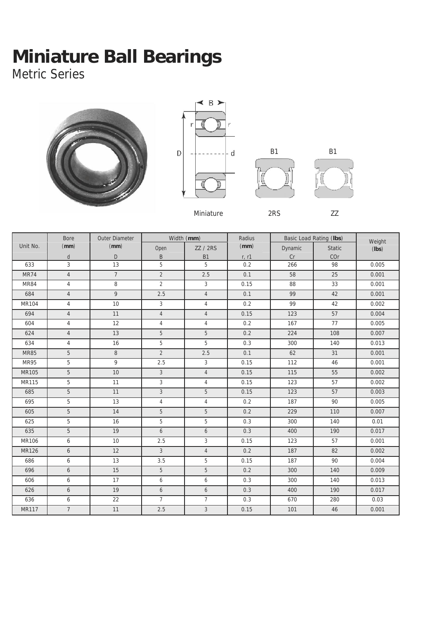Metric Series









|              | <b>Bore</b>    | <b>Outer Diameter</b> |                  | Width (mm)      | Radius | Basic Load Rating (lbs) | Weight        |       |
|--------------|----------------|-----------------------|------------------|-----------------|--------|-------------------------|---------------|-------|
| Unit No.     | (mm)           | (mm)                  | Open             | <b>ZZ / 2RS</b> | (mm)   | Dynamic                 | <b>Static</b> | (Ibs) |
|              | d              | D                     | B                | B <sub>1</sub>  | r, r1  | Cr                      | COr           |       |
| 633          | 3              | 13                    | $5\,$            | 5               | 0.2    | 266                     | 98            | 0.005 |
| <b>MR74</b>  | $\overline{4}$ | $\overline{7}$        | $\overline{2}$   | 2.5             | 0.1    | 58                      | 25            | 0.001 |
| <b>MR84</b>  | $\overline{4}$ | 8                     | $\overline{2}$   | $\mathbf{3}$    | 0.15   | 88                      | 33            | 0.001 |
| 684          | $\overline{4}$ | 9                     | 2.5              | $\overline{4}$  | 0.1    | 99                      | 42            | 0.001 |
| MR104        | $\overline{4}$ | 10                    | $\mathbf{3}$     | $\overline{4}$  | 0.2    | 99                      | 42            | 0.002 |
| 694          | $\overline{4}$ | 11                    | $\overline{4}$   | $\overline{4}$  | 0.15   | 123                     | 57            | 0.004 |
| 604          | $\overline{4}$ | 12                    | $\overline{4}$   | $\overline{4}$  | 0.2    | 167                     | 77            | 0.005 |
| 624          | $\overline{4}$ | 13                    | 5                | 5               | 0.2    | 224                     | 108           | 0.007 |
| 634          | $\overline{4}$ | 16                    | 5                | 5               | 0.3    | 300                     | 140           | 0.013 |
| <b>MR85</b>  | $\overline{5}$ | $\,8\,$               | $\overline{2}$   | 2.5             | 0.1    | 62                      | 31            | 0.001 |
| <b>MR95</b>  | 5              | 9                     | 2.5              | 3               | 0.15   | 112                     | 46            | 0.001 |
| MR105        | 5              | $10$                  | $\mathbf{3}$     | $\overline{4}$  | 0.15   | 115                     | 55            | 0.002 |
| MR115        | 5              | 11                    | $\mathbf{3}$     | $\overline{4}$  | 0.15   | 123                     | 57            | 0.002 |
| 685          | 5              | 11                    | 3                | 5               | 0.15   | 123                     | 57            | 0.003 |
| 695          | 5              | 13                    | $\overline{4}$   | $\overline{4}$  | 0.2    | 187                     | 90            | 0.005 |
| 605          | $\overline{5}$ | 14                    | $\sqrt{5}$       | 5               | 0.2    | 229                     | 110           | 0.007 |
| 625          | 5              | 16                    | 5                | 5               | 0.3    | 300                     | 140           | 0.01  |
| 635          | 5              | 19                    | $\mathfrak b$    | 6               | 0.3    | 400                     | 190           | 0.017 |
| <b>MR106</b> | 6              | 10                    | 2.5              | 3               | 0.15   | 123                     | 57            | 0.001 |
| MR126        | $\mathfrak b$  | 12                    | $\mathfrak{Z}$   | $\overline{4}$  | 0.2    | 187                     | 82            | 0.002 |
| 686          | 6              | 13                    | 3.5              | 5               | 0.15   | 187                     | 90            | 0.004 |
| 696          | 6              | 15                    | $5\,$            | 5               | 0.2    | 300                     | 140           | 0.009 |
| 606          | 6              | 17                    | 6                | 6               | 0.3    | 300                     | 140           | 0.013 |
| 626          | 6              | 19                    | $\boldsymbol{6}$ | 6               | 0.3    | 400                     | 190           | 0.017 |
| 636          | 6              | 22                    | $\overline{7}$   | $\overline{7}$  | 0.3    | 670                     | 280           | 0.03  |
| MR117        | $\overline{7}$ | 11                    | 2.5              | $\overline{3}$  | 0.15   | 101                     | 46            | 0.001 |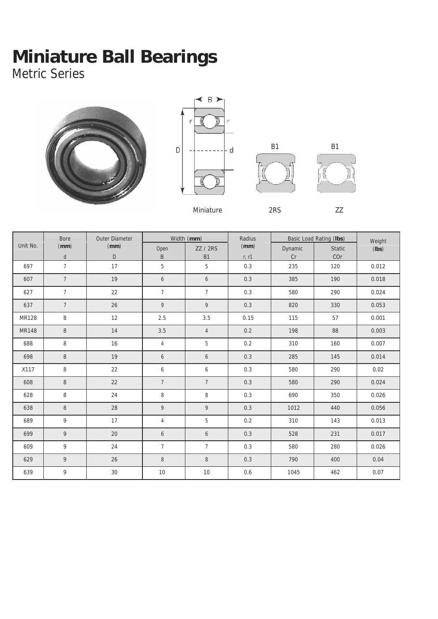Metric Series









**Miniature 2RS 272** 

|              | <b>Bore</b>     | <b>Outer Diameter</b> |                 | Width (mm)      | Radius |         | Basic Load Rating (Ibs) |                 |  |  |
|--------------|-----------------|-----------------------|-----------------|-----------------|--------|---------|-------------------------|-----------------|--|--|
| Unit No.     | (mm)            | (mm)                  | Open            | <b>ZZ / 2RS</b> | (mm)   | Dynamic | <b>Static</b>           | Weight<br>(Ibs) |  |  |
|              | $\sf d$         | $\mathsf D$           | B               | <b>B1</b>       | r, r1  | Cr      | COr                     |                 |  |  |
| 697          | $7\overline{ }$ | 17                    | $5\,$           | 5               | 0.3    | 235     | 120                     | 0.012           |  |  |
| 607          | $7\overline{ }$ | 19                    | 6               | 6               | 0.3    | 385     | 190                     | 0.018           |  |  |
| 627          | $\overline{7}$  | 22                    | $7^{\circ}$     | $7\overline{ }$ | 0.3    | 580     | 290                     | 0.024           |  |  |
| 637          | $7\overline{ }$ | $26\,$                | 9               | 9               | 0.3    | 820     | 330                     | 0.053           |  |  |
| <b>MR128</b> | 8               | 12                    | 2.5             | 3.5             | 0.15   | 115     | 57                      | 0.001           |  |  |
| <b>MR148</b> | $\, 8$          | 14                    | $3.5\,$         | $\overline{4}$  | 0.2    | 198     | 88                      | 0.003           |  |  |
| 688          | 8               | 16                    | $\overline{4}$  | 5               | 0.2    | 310     | 160                     | 0.007           |  |  |
| 698          | 8               | 19                    | 6               | 6               | 0.3    | 285     | 145                     | 0.014           |  |  |
| X117         | 8               | 22                    | 6               | 6               | 0.3    | 580     | 290                     | 0.02            |  |  |
| 608          | 8               | 22                    | $7\overline{ }$ | $\overline{7}$  | 0.3    | 580     | 290                     | 0.024           |  |  |
| 628          | 8               | 24                    | 8               | 8               | 0.3    | 690     | 350                     | 0.026           |  |  |
| 638          | 8               | 28                    | 9               | 9               | 0.3    | 1012    | 440                     | 0.056           |  |  |
| 689          | 9               | 17                    | $\overline{4}$  | 5               | 0.2    | 310     | 143                     | 0.013           |  |  |
| 699          | 9               | 20                    | 6               | 6               | 0.3    | 528     | 231                     | 0.017           |  |  |
| 609          | 9               | 24                    | $\overline{7}$  | $\overline{7}$  | 0.3    | 580     | 280                     | 0.026           |  |  |
| 629          | 9               | 26                    | $\, 8$          | 8               | 0.3    | 790     | 400                     | 0.04            |  |  |
| 639          | 9               | $30\,$                | 10              | 10              | 0.6    | 1045    | 462                     | 0.07            |  |  |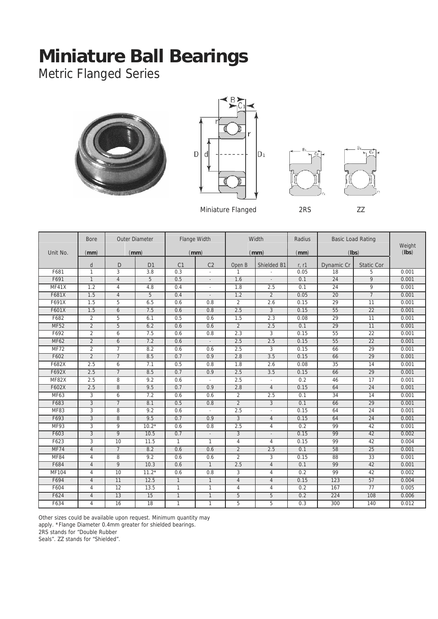Metric Flanged Series









| Unit No.     | <b>Bore</b><br>(mm) | <b>Outer Diameter</b><br>(mm) |                 | Flange Width<br>(mm) |                          | Width<br>(mm)  |                | Radius<br>(mm) | <b>Basic Load Rating</b><br>(lbs) |                 | Weight<br>(Ibs) |
|--------------|---------------------|-------------------------------|-----------------|----------------------|--------------------------|----------------|----------------|----------------|-----------------------------------|-----------------|-----------------|
|              | d                   | D                             | D <sub>1</sub>  | C <sub>1</sub>       | C <sub>2</sub>           | Open B         | Shielded B1    | r, r1          | Dynamic Cr                        | Static Cor      |                 |
| F681         | $\mathbf{1}$        | $\overline{3}$                | 3.8             | 0.3                  | $\mathcal{L}$            | $\mathbf{1}$   |                | 0.05           | $\overline{18}$                   | 5               | 0.001           |
| F691         | $\mathbf{1}$        | $\overline{4}$                | 5               | 0.5                  | $\overline{\phantom{a}}$ | 1.6            | $\overline{a}$ | 0.1            | $\overline{24}$                   | 9               | 0.001           |
| MF41X        | 1.2                 | $\overline{4}$                | 4.8             | 0.4                  | L.                       | 1.8            | 2.5            | 0.1            | 24                                | 9               | 0.001           |
| F681X        | 1.5                 | $\overline{4}$                | 5               | 0.4                  | $\overline{\phantom{a}}$ | 1.2            | $\overline{2}$ | 0.05           | 20                                | $\overline{7}$  | 0.001           |
| F691X        | 1.5                 | 5                             | 6.5             | 0.6                  | 0.8                      | $\overline{2}$ | 2.6            | 0.15           | 29                                | 11              | 0.001           |
| F601X        | 1.5                 | 6                             | 7.5             | 0.6                  | 0.8                      | 2.5            | $\overline{3}$ | 0.15           | 55                                | $\overline{22}$ | 0.001           |
| F682         | $\overline{2}$      | 5                             | 6.1             | 0.5                  | 0.6                      | 1.5            | 2.3            | 0.08           | 29                                | 11              | 0.001           |
| <b>MF52</b>  | $\overline{2}$      | 5                             | 6.2             | 0.6                  | 0.6                      | 2              | 2.5            | 0.1            | 29                                | $\overline{11}$ | 0.001           |
| F692         | $\overline{2}$      | 6                             | 7.5             | 0.6                  | 0.8                      | 2.3            | $\overline{3}$ | 0.15           | 55                                | $\overline{22}$ | 0.001           |
| <b>MF62</b>  | $\overline{2}$      | 6                             | 7.2             | 0.6                  |                          | 2.5            | 2.5            | 0.15           | 55                                | 22              | 0.001           |
| MF72         | $\overline{2}$      | $\overline{7}$                | 8.2             | 0.6                  | 0.6                      | 2.5            | 3              | 0.15           | 66                                | 29              | 0.001           |
| F602         | $\overline{2}$      | $\overline{7}$                | 8.5             | 0.7                  | 0.9                      | 2.8            | 3.5            | 0.15           | 66                                | 29              | 0.001           |
| F682X        | 2.5                 | 6                             | 7.1             | 0.5                  | 0.8                      | 1.8            | 2.6            | 0.08           | 35                                | 14              | 0.001           |
| F692X        | 2.5                 | $\overline{7}$                | 8.5             | 0.7                  | 0.9                      | 2.5            | 3.5            | 0.15           | 66                                | $\overline{29}$ | 0.001           |
| MF82X        | 2.5                 | 8                             | 9.2             | 0.6                  |                          | 2.5            |                | 0.2            | 46                                | 17              | 0.001           |
| F602X        | 2.5                 | 8                             | 9.5             | 0.7                  | 0.9                      | 2.8            | $\overline{4}$ | 0.15           | 64                                | 24              | 0.001           |
| <b>MF63</b>  | 3                   | 6                             | 7.2             | 0.6                  | 0.6                      | 2              | 2.5            | 0.1            | 34                                | 14              | 0.001           |
| F683         | 3                   | $\overline{7}$                | 8.1             | 0.5                  | 0.8                      | 2              | 3              | 0.1            | 66                                | 29              | 0.001           |
| <b>MF83</b>  | 3                   | 8                             | 9.2             | 0.6                  |                          | 2.5            |                | 0.15           | 64                                | 24              | 0.001           |
| F693         | 3                   | 8                             | 9.5             | 0.7                  | 0.9                      | 3              | $\overline{4}$ | 0.15           | 64                                | 24              | 0.001           |
| <b>MF93</b>  | 3                   | 9                             | $10.2*$         | 0.6                  | 0.8                      | 2.5            | $\overline{4}$ | 0.2            | 99                                | 42              | 0.001           |
| F603         | 3                   | 9                             | 10.5            | 0.7                  | $\overline{a}$           | 3              | ÷              | 0.15           | 99                                | 42              | 0.002           |
| F623         | 3                   | 10                            | 11.5            | $\mathbf{1}$         | $\mathbf{1}$             | $\overline{4}$ | 4              | 0.15           | 99                                | 42              | 0.004           |
| <b>MF74</b>  | $\overline{4}$      | $\overline{7}$                | 8.2             | 0.6                  | 0.6                      | $\overline{2}$ | 2.5            | 0.1            | 58                                | 25              | 0.001           |
| MF84         | 4                   | 8                             | 9.2             | 0.6                  | 0.6                      | $\overline{2}$ | 3              | 0.15           | 88                                | 33              | 0.001           |
| F684         | $\overline{4}$      | 9                             | 10.3            | 0.6                  | $\mathbf{1}$             | 2.5            | $\overline{4}$ | 0.1            | 99                                | 42              | 0.001           |
| <b>MF104</b> | $\overline{4}$      | 10                            | $11.2*$         | 0.6                  | 0.8                      | 3              | $\overline{4}$ | 0.2            | 99                                | 42              | 0.002           |
| F694         | $\overline{4}$      | 11                            | 12.5            | $\mathbf{1}$         | $\mathbf{1}$             | $\overline{4}$ | $\overline{4}$ | 0.15           | 123                               | 57              | 0.004           |
| F604         | $\overline{4}$      | 12                            | 13.5            | $\mathbf{1}$         | $\mathbf{1}$             | $\overline{4}$ | $\overline{4}$ | 0.2            | 167                               | 77              | 0.005           |
| F624         | $\overline{4}$      | $\overline{13}$               | $\overline{15}$ | $\mathbf{1}$         | $\mathbf{1}$             | 5              | 5              | 0.2            | 224                               | 108             | 0.006           |
| F634         | $\overline{4}$      | 16                            | $\overline{18}$ | $\mathbf{1}$         | $\mathbf{1}$             | 5              | $\overline{5}$ | 0.3            | 300                               | 140             | 0.012           |

Other sizes could be available upon request. Minimum quantity may

apply. \*Flange Diameter 0.4mm greater for shielded bearings.

2RS stands for "Double Rubber

Seals". ZZ stands for "Shielded".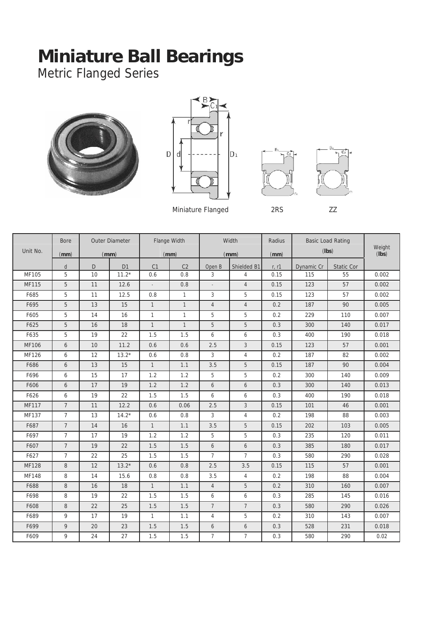Metric Flanged Series







Miniature Flanged 2RS 2Z

Bore Outer Diameter Flange Width Width Radius Basic Load Rating Weight Unit No. (**lbs**) (**mm**) (**mm**) (**mm**) (**mm**) (**mm**) (**lbs**) d D D1 C1 C2 Open B Shielded B1 r, r1 Dynamic Cr Static Cor MF105 | 5 | 10 | 11.2\* | 0.6 | 0.8 | 3 | 4 | 0.15 | 115 | 55 | 0.002 MF115 | 5 | 11 | 12.6 | . | 0.8 | . | 4 | 0.15 | 123 | 57 | 0.002 F685 5 11 12.5 0.8 1 3 5 0.15 123 57 0.002 F695 5 13 15 1 1 4 4 0.2 187 90 0.005 F605 5 14 16 1 1 5 5 0.2 229 110 0.007 F625 5 16 18 1 1 5 5 0.3 300 140 0.017 F635 5 19 22 1.5 1.5 6 6 0.3 400 190 0.018 MF106 | 6 | 10 | 11.2 | 0.6 | 0.6 | 2.5 | 3 | 0.15 | 123 | 57 | 0.001 MF126 6 12 13.2\* 0.6 0.8 3 4 0.2 187 82 0.002 F686 6 13 15 1 1.1 3.5 5 0.15 187 90 0.004 F696 6 15 17 1.2 1.2 5 5 0.2 300 140 0.009 F606 6 17 19 1.2 1.2 6 6 0.3 300 140 0.013 F626 6 19 22 1.5 1.5 6 6 0.3 400 190 0.018 MF117 | 7 | 11 | 12.2 | 0.6 | 0.06 | 2.5 | 3 | 0.15 | 101 | 46 | 0.001 MF137 | 7 | 13 | 14.2\* | 0.6 | 0.8 | 3 | 4 | 0.2 | 198 | 88 | 0.003 F687 7 14 16 1 1.1 3.5 5 0.15 202 103 0.005 F697 7 17 19 1.2 1.2 5 5 0.3 235 120 0.011 F607 7 19 22 1.5 1.5 6 6 0.3 385 180 0.017 F627 7 22 25 1.5 1.5 7 7 0.3 580 290 0.028 MF128 | 8 | 12 | 13.2\* | 0.6 | 0.8 | 2.5 | 3.5 | 0.15 | 115 | 57 | 0.001 MF148 8 14 15.6 0.8 0.8 3.5 4 0.2 198 88 0.004 F688 8 16 18 1 1.1 4 5 0.2 310 160 0.007 F698 8 19 22 1.5 1.5 6 6 0.3 285 145 0.016 F608 8 22 25 1.5 1.5 7 7 0.3 580 290 0.026 F689 9 17 19 1 1.1 4 5 0.2 310 143 0.007 F699 9 20 23 1.5 1.5 6 6 0.3 528 231 0.018 F609 9 24 27 1.5 1.5 7 7 0.3 580 290 0.02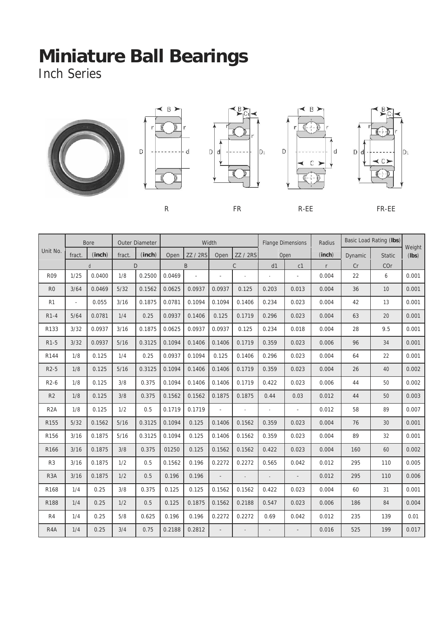Inch Series



I

I

I





 $\mathsf{B}$  $\overline{D}$  $\mathbb{C}$ 

 $\mathbf d$ 



Bore Outer Diameter Width Width Flange Dimensions Radius Basic Load Rating (Ibs) Unit No. <u>La company and the second contract of the second contract of the second contract of the second contract of the second contract of the second contract of the second contract of the second contract of the second co</u> fract. (**inch**) fract. (**inch**) Open ZZ / 2RS Open ZZ / 2RS Open (**inch**) Dynamic Static (**lbs**) d D B C d1 c1 r Cr COr R09 | 1/25 | 0.0400 | 1/8 | 0.2500 | 0.0469 | - | - | - | - | - | 0.004 | 22 | 6 | 0.001 R0 | 3/64 | 0.0469 | 5/32 | 0.1562 | 0.0625 | 0.0937 | 0.0937 | 0.125 | 0.203 | 0.013 | 0.004 | 36 | 10 | 0.001 R1 - 0.055 3/16 0.1875 0.0781 0.1094 0.1094 0.1406 0.234 0.023 0.004 42 13 0.001R1-4 | 5/64 | 0.0781 | 1/4 | 0.25 | 0.0937 | 0.1406 | 0.125 | 0.1719 | 0.296 | 0.023 | 0.004 | 63 | 20 | 0.001 R133 | 3/32 | 0.0937 | 3/16 | 0.1875 | 0.0625 | 0.0937 | 0.0937 | 0.125 | 0.234 | 0.018 | 0.004 | 0.28 | 0.001 R1-5 | 3/32 | 0.0937 | 5/16 | 0.3125 | 0.1094 | 0.1406 | 0.1406 | 0.1719 | 0.359 | 0.023 | 0.006 | 96 | 34 |0.001 R144 1/8 0.125 1/4 0.25 0.0937 0.1094 0.125 0.1406 0.296 0.023 0.004 64 22 0.001R2-5 | 1/8 | 0.125 | 5/16 | 0.3125 | 0.1094 | 0.1406 | 0.1406 | 0.1719 | 0.359 | 0.023 | 0.004 | 26 | 40 |0.002 R2-6 | 1/8 | 0.125 | 3/8 | 0.375 |0.1094 | 0.1406 | 0.1406 | 0.1719 | 0.422 | 0.023 | 0.006 | 44 | 50 | 0.002 R2 | 1/8 | 0.125 | 3/8 | 0.375 | 0.1562 | 0.1875 | 0.1875 | 0.144 | 0.03 | 0.012 | 44 | 50 | 0.003 R2A | 1/8 | 0.125 | 1/2 | 0.5 |0.1719 | 0.1719 | - - | - | - | - | 0.012 | 58 | 89 | 0.007 R155 | 5/32 | 0.1562 | 5/16 | 0.3125 | 0.1094 | 0.125 | 0.1406 | 0.1562 | 0.359 | 0.023 | 0.004 | 76 | 30 | 0.001 R156 | 3/16 | 0.1875 | 5/16 | 0.3125 | 0.1094 | 0.125 | 0.1406 | 0.1562 | 0.359 | 0.023 | 0.004 | 89 | 32 | 0.001 R166 | 3/16 | 0.1875 | 3/8 | 0.375 | 01250 | 0.125 | 0.1562 | 0.1562 | 0.422 | 0.023 | 0.004 | 160 | 60 | 0.002 R3 3/16 0.1875 1/2 0.5 0.1562 0.196 0.2272 0.2272 0.565 0.042 0.012 295 110 0.005R3A | 3/16 | 0.1875 | 1/2 | 0.5 | 0.196 | 0.196 | - - | - - | - | - | - | 0.012 | 295 | 110 |0.006 R168 1/4 0.25 3/8 0.375 0.125 0.125 0.1562 0.1562 0.422 0.023 0.004 60 31 0.001R188 | 1/4 | 0.25 | 1/2 | 0.5 | 0.125 | 0.1875 | 0.1562 | 0.2188 | 0.547 | 0.023 | 0.006 | 186 | 84 | 0.004 R4 1/4 0.25 5/8 0.625 0.196 0.196 0.2272 0.2272 0.69 0.042 0.012 235 139 0.01R4A | 1/4 | 0.25 | 3/4 | 0.75 |0.2188 | 0.2812 | - - | - | - | - | - | 0.016 | 525 | 199 |0.017